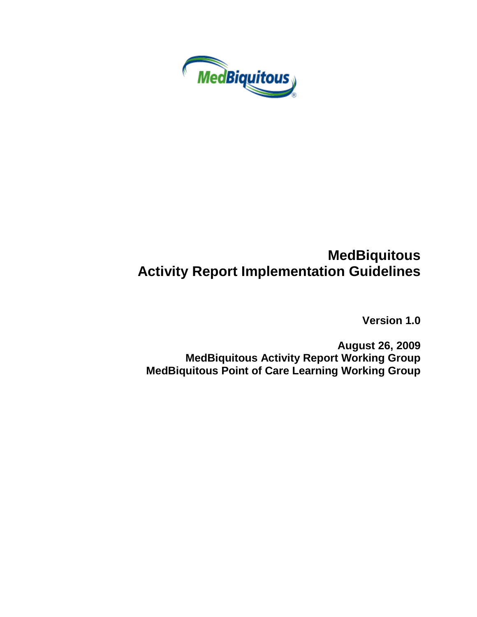

# **MedBiquitous Activity Report Implementation Guidelines**

**Version 1.0**

**August 26, 2009 MedBiquitous Activity Report Working Group MedBiquitous Point of Care Learning Working Group**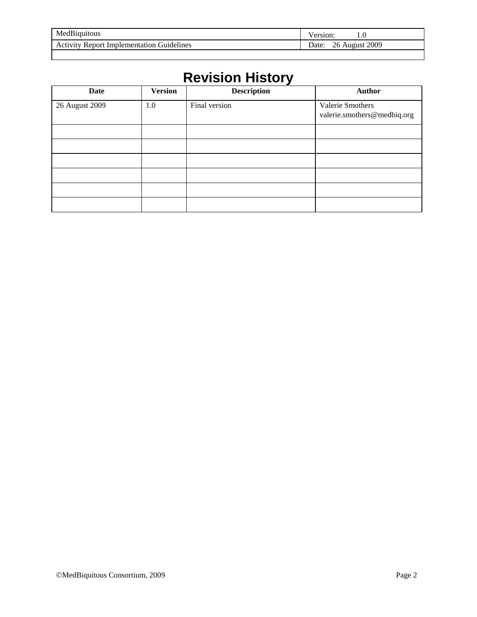| MedBiquitous                                                  | 1.U                     |
|---------------------------------------------------------------|-------------------------|
| <b>Guidelines</b><br><b>Activity Report</b><br>Implementation | 2009<br>Date:<br>August |
|                                                               |                         |

# **Revision History**

| <b>Date</b>    | <b>Version</b> | <b>Description</b> | <b>Author</b>                                   |
|----------------|----------------|--------------------|-------------------------------------------------|
| 26 August 2009 | 1.0            | Final version      | Valerie Smothers<br>valerie.smothers@medbiq.org |
|                |                |                    |                                                 |
|                |                |                    |                                                 |
|                |                |                    |                                                 |
|                |                |                    |                                                 |
|                |                |                    |                                                 |
|                |                |                    |                                                 |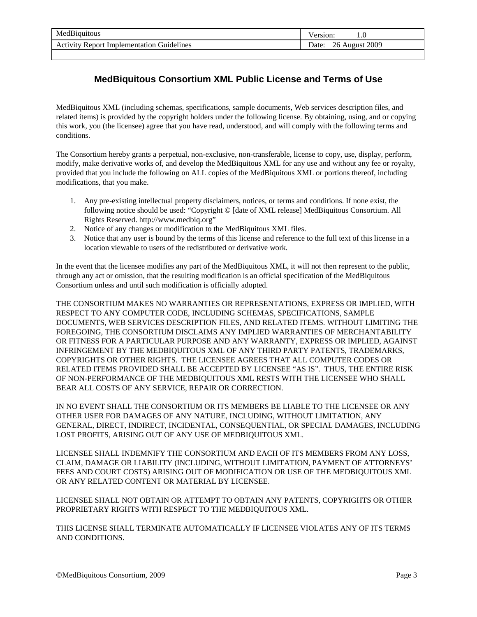| MedBiquitous                                       | 1.0<br>ersion:                      |
|----------------------------------------------------|-------------------------------------|
| Guidelines<br>Activity<br>Report<br>Implementation | 2009<br>Date:<br>August<br>יי<br>∠∪ |
|                                                    |                                     |

## **MedBiquitous Consortium XML Public License and Terms of Use**

MedBiquitous XML (including schemas, specifications, sample documents, Web services description files, and related items) is provided by the copyright holders under the following license. By obtaining, using, and or copying this work, you (the licensee) agree that you have read, understood, and will comply with the following terms and conditions.

The Consortium hereby grants a perpetual, non-exclusive, non-transferable, license to copy, use, display, perform, modify, make derivative works of, and develop the MedBiquitous XML for any use and without any fee or royalty, provided that you include the following on ALL copies of the MedBiquitous XML or portions thereof, including modifications, that you make.

- 1. Any pre-existing intellectual property disclaimers, notices, or terms and conditions. If none exist, the following notice should be used: "Copyright © [date of XML release] MedBiquitous Consortium. All Rights Reserved. http://www.medbiq.org"
- 2. Notice of any changes or modification to the MedBiquitous XML files.
- 3. Notice that any user is bound by the terms of this license and reference to the full text of this license in a location viewable to users of the redistributed or derivative work.

In the event that the licensee modifies any part of the MedBiquitous XML, it will not then represent to the public, through any act or omission, that the resulting modification is an official specification of the MedBiquitous Consortium unless and until such modification is officially adopted.

THE CONSORTIUM MAKES NO WARRANTIES OR REPRESENTATIONS, EXPRESS OR IMPLIED, WITH RESPECT TO ANY COMPUTER CODE, INCLUDING SCHEMAS, SPECIFICATIONS, SAMPLE DOCUMENTS, WEB SERVICES DESCRIPTION FILES, AND RELATED ITEMS. WITHOUT LIMITING THE FOREGOING, THE CONSORTIUM DISCLAIMS ANY IMPLIED WARRANTIES OF MERCHANTABILITY OR FITNESS FOR A PARTICULAR PURPOSE AND ANY WARRANTY, EXPRESS OR IMPLIED, AGAINST INFRINGEMENT BY THE MEDBIQUITOUS XML OF ANY THIRD PARTY PATENTS, TRADEMARKS, COPYRIGHTS OR OTHER RIGHTS. THE LICENSEE AGREES THAT ALL COMPUTER CODES OR RELATED ITEMS PROVIDED SHALL BE ACCEPTED BY LICENSEE "AS IS". THUS, THE ENTIRE RISK OF NON-PERFORMANCE OF THE MEDBIQUITOUS XML RESTS WITH THE LICENSEE WHO SHALL BEAR ALL COSTS OF ANY SERVICE, REPAIR OR CORRECTION.

IN NO EVENT SHALL THE CONSORTIUM OR ITS MEMBERS BE LIABLE TO THE LICENSEE OR ANY OTHER USER FOR DAMAGES OF ANY NATURE, INCLUDING, WITHOUT LIMITATION, ANY GENERAL, DIRECT, INDIRECT, INCIDENTAL, CONSEQUENTIAL, OR SPECIAL DAMAGES, INCLUDING LOST PROFITS, ARISING OUT OF ANY USE OF MEDBIQUITOUS XML.

LICENSEE SHALL INDEMNIFY THE CONSORTIUM AND EACH OF ITS MEMBERS FROM ANY LOSS, CLAIM, DAMAGE OR LIABILITY (INCLUDING, WITHOUT LIMITATION, PAYMENT OF ATTORNEYS' FEES AND COURT COSTS) ARISING OUT OF MODIFICATION OR USE OF THE MEDBIQUITOUS XML OR ANY RELATED CONTENT OR MATERIAL BY LICENSEE.

LICENSEE SHALL NOT OBTAIN OR ATTEMPT TO OBTAIN ANY PATENTS, COPYRIGHTS OR OTHER PROPRIETARY RIGHTS WITH RESPECT TO THE MEDBIQUITOUS XML.

THIS LICENSE SHALL TERMINATE AUTOMATICALLY IF LICENSEE VIOLATES ANY OF ITS TERMS AND CONDITIONS.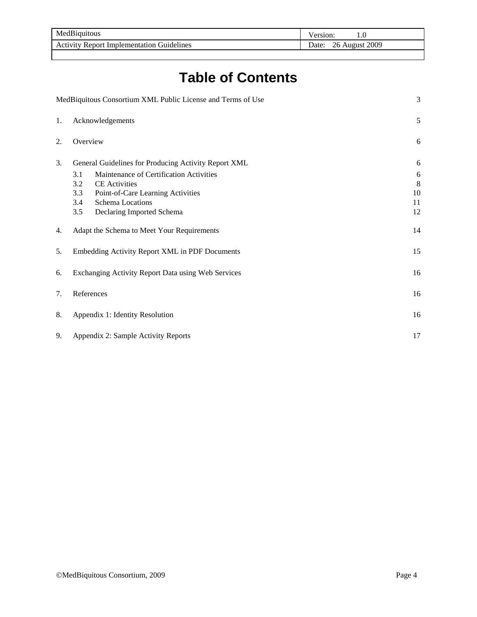| MedBiquitous | 0.48040333<br>1.0 |
|--------------|-------------------|
| Fuidelines.  | 2009              |
| nnlementai   | Date:             |
| ' Renor      | August            |

# **Table of Contents**

|    | MedBiquitous Consortium XML Public License and Terms of Use | 3  |  |
|----|-------------------------------------------------------------|----|--|
| 1. | Acknowledgements                                            | 5  |  |
| 2. | Overview                                                    | 6  |  |
| 3. | General Guidelines for Producing Activity Report XML        | 6  |  |
|    | 3.1<br>Maintenance of Certification Activities              | 6  |  |
|    | 3.2<br><b>CE</b> Activities                                 | 8  |  |
|    | Point-of-Care Learning Activities<br>3.3                    | 10 |  |
|    | Schema Locations<br>3.4                                     | 11 |  |
|    | 3.5<br>Declaring Imported Schema                            | 12 |  |
| 4. | Adapt the Schema to Meet Your Requirements                  | 14 |  |
| 5. | Embedding Activity Report XML in PDF Documents              | 15 |  |
| 6. | Exchanging Activity Report Data using Web Services          | 16 |  |
| 7. | References                                                  | 16 |  |
| 8. | Appendix 1: Identity Resolution                             | 16 |  |
| 9. | Appendix 2: Sample Activity Reports                         |    |  |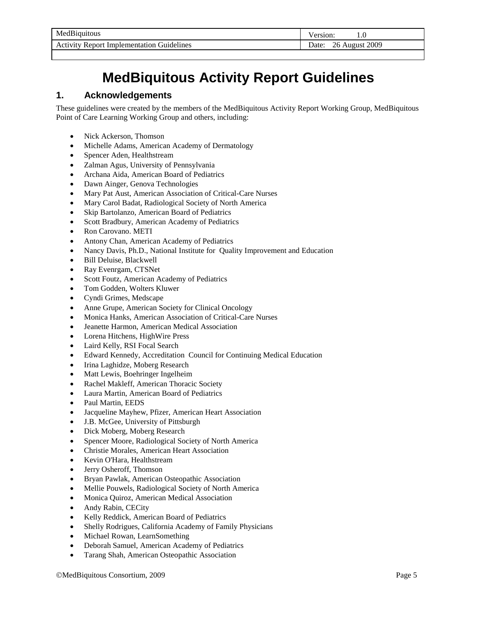| MedBiquitous                                           | 1.U                  |
|--------------------------------------------------------|----------------------|
| Fuidelines<br><b>Activity Report</b><br>Implementation | August 2009<br>Date: |
|                                                        |                      |

## **MedBiquitous Activity Report Guidelines**

#### **1. Acknowledgements**

These guidelines were created by the members of the MedBiquitous Activity Report Working Group, MedBiquitous Point of Care Learning Working Group and others, including:

- Nick Ackerson, Thomson
- Michelle Adams, American Academy of Dermatology
- Spencer Aden, Healthstream
- Zalman Agus, University of Pennsylvania
- Archana Aida, American Board of Pediatrics
- Dawn Ainger, Genova Technologies
- Mary Pat Aust, American Association of Critical-Care Nurses
- Mary Carol Badat, Radiological Society of North America
- Skip Bartolanzo, American Board of Pediatrics
- Scott Bradbury, American Academy of Pediatrics
- Ron Carovano. METI
- Antony Chan, American Academy of Pediatrics
- Nancy Davis, Ph.D., National Institute for Quality Improvement and Education
- Bill Deluise, Blackwell
- Ray Evenrgam, CTSNet
- Scott Foutz, American Academy of Pediatrics
- Tom Godden, Wolters Kluwer
- Cyndi Grimes, Medscape
- Anne Grupe, American Society for Clinical Oncology
- Monica Hanks, American Association of Critical-Care Nurses
- Jeanette Harmon, American Medical Association
- Lorena Hitchens, HighWire Press
- Laird Kelly, RSI Focal Search
- Edward Kennedy, Accreditation Council for Continuing Medical Education
- Irina Laghidze, Moberg Research
- Matt Lewis, Boehringer Ingelheim
- Rachel Makleff, American Thoracic Society
- Laura Martin, American Board of Pediatrics
- Paul Martin, EEDS
- Jacqueline Mayhew, Pfizer, American Heart Association
- J.B. McGee, University of Pittsburgh
- Dick Moberg, Moberg Research
- Spencer Moore, Radiological Society of North America
- Christie Morales, American Heart Association
- Kevin O'Hara, Healthstream
- Jerry Osheroff, Thomson
- Bryan Pawlak, American Osteopathic Association
- Mellie Pouwels, Radiological Society of North America
- Monica Quiroz, American Medical Association
- Andy Rabin, CECity
- Kelly Reddick, American Board of Pediatrics
- Shelly Rodrigues, California Academy of Family Physicians
- Michael Rowan, LearnSomething
- Deborah Samuel, American Academy of Pediatrics
- Tarang Shah, American Osteopathic Association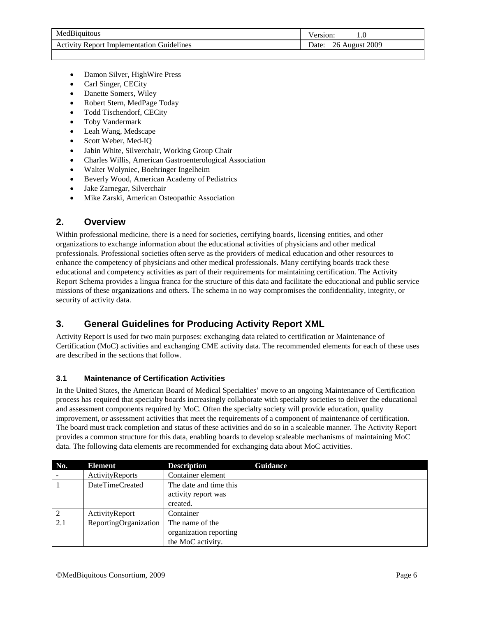| Mec             | rsion: |
|-----------------|--------|
| 1B1qu1tous      | 1.U    |
| duidelines.     | 2009   |
| Activity        | Date:  |
| -Report         | August |
| -Implementation |        |

- Damon Silver, HighWire Press
- Carl Singer, CECity
- Danette Somers, Wiley
- Robert Stern, MedPage Today
- Todd Tischendorf, CECity
- Toby Vandermark
- Leah Wang, Medscape
- Scott Weber, Med-IQ
- Jabin White, Silverchair, Working Group Chair
- Charles Willis, American Gastroenterological Association
- Walter Wolyniec, Boehringer Ingelheim
- Beverly Wood, American Academy of Pediatrics
- Jake Zarnegar, Silverchair
- Mike Zarski, American Osteopathic Association

#### **2. Overview**

Within professional medicine, there is a need for societies, certifying boards, licensing entities, and other organizations to exchange information about the educational activities of physicians and other medical professionals. Professional societies often serve as the providers of medical education and other resources to enhance the competency of physicians and other medical professionals. Many certifying boards track these educational and competency activities as part of their requirements for maintaining certification. The Activity Report Schema provides a lingua franca for the structure of this data and facilitate the educational and public service missions of these organizations and others. The schema in no way compromises the confidentiality, integrity, or security of activity data.

## **3. General Guidelines for Producing Activity Report XML**

Activity Report is used for two main purposes: exchanging data related to certification or Maintenance of Certification (MoC) activities and exchanging CME activity data. The recommended elements for each of these uses are described in the sections that follow.

#### **3.1 Maintenance of Certification Activities**

In the United States, the American Board of Medical Specialties' move to an ongoing Maintenance of Certification process has required that specialty boards increasingly collaborate with specialty societies to deliver the educational and assessment components required by MoC. Often the specialty society will provide education, quality improvement, or assessment activities that meet the requirements of a component of maintenance of certification. The board must track completion and status of these activities and do so in a scaleable manner. The Activity Report provides a common structure for this data, enabling boards to develop scaleable mechanisms of maintaining MoC data. The following data elements are recommended for exchanging data about MoC activities.

| No. | Element               | <b>Description</b>     | <b>Guidance</b> |
|-----|-----------------------|------------------------|-----------------|
|     | ActivityReports       | Container element      |                 |
|     | DateTimeCreated       | The date and time this |                 |
|     |                       | activity report was    |                 |
|     |                       | created.               |                 |
|     | ActivityReport        | Container              |                 |
| 2.1 | ReportingOrganization | The name of the        |                 |
|     |                       | organization reporting |                 |
|     |                       | the MoC activity.      |                 |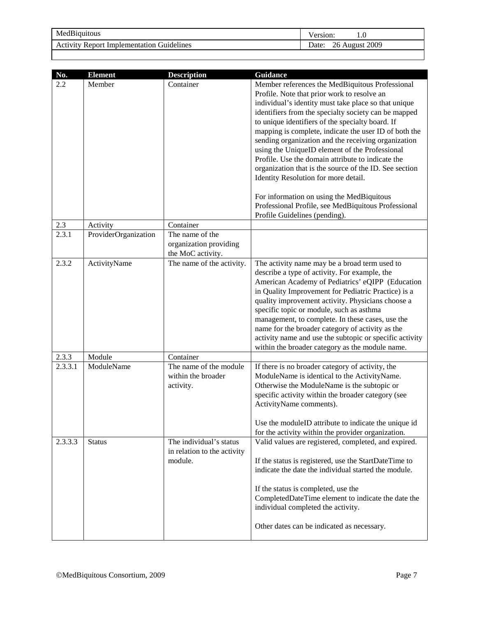| MedBiquitous                                       | 1.0<br>ersion                |
|----------------------------------------------------|------------------------------|
| Guidelines<br>Activity<br>Implementation<br>Report | August 2009<br>26 A<br>Date: |
|                                                    |                              |

|                      |                                                                   | <b>Guidance</b>                                                                                                                                                                                                                                                                                                                                                                                                                                                                                                                                                                                                                          |
|----------------------|-------------------------------------------------------------------|------------------------------------------------------------------------------------------------------------------------------------------------------------------------------------------------------------------------------------------------------------------------------------------------------------------------------------------------------------------------------------------------------------------------------------------------------------------------------------------------------------------------------------------------------------------------------------------------------------------------------------------|
| Member               | Container                                                         | Member references the MedBiquitous Professional<br>Profile. Note that prior work to resolve an<br>individual's identity must take place so that unique<br>identifiers from the specialty society can be mapped<br>to unique identifiers of the specialty board. If<br>mapping is complete, indicate the user ID of both the<br>sending organization and the receiving organization<br>using the UniqueID element of the Professional<br>Profile. Use the domain attribute to indicate the<br>organization that is the source of the ID. See section<br>Identity Resolution for more detail.<br>For information on using the MedBiquitous |
|                      |                                                                   | Professional Profile, see MedBiquitous Professional<br>Profile Guidelines (pending).                                                                                                                                                                                                                                                                                                                                                                                                                                                                                                                                                     |
|                      |                                                                   |                                                                                                                                                                                                                                                                                                                                                                                                                                                                                                                                                                                                                                          |
| ProviderOrganization | The name of the<br>organization providing<br>the MoC activity.    |                                                                                                                                                                                                                                                                                                                                                                                                                                                                                                                                                                                                                                          |
| ActivityName         | The name of the activity.                                         | The activity name may be a broad term used to<br>describe a type of activity. For example, the<br>American Academy of Pediatrics' eQIPP (Education<br>in Quality Improvement for Pediatric Practice) is a<br>quality improvement activity. Physicians choose a<br>specific topic or module, such as asthma<br>management, to complete. In these cases, use the<br>name for the broader category of activity as the<br>activity name and use the subtopic or specific activity<br>within the broader category as the module name.                                                                                                         |
| Module               | Container                                                         |                                                                                                                                                                                                                                                                                                                                                                                                                                                                                                                                                                                                                                          |
| ModuleName           | The name of the module<br>within the broader<br>activity.         | If there is no broader category of activity, the<br>ModuleName is identical to the ActivityName.<br>Otherwise the ModuleName is the subtopic or<br>specific activity within the broader category (see<br>ActivityName comments).<br>Use the moduleID attribute to indicate the unique id<br>for the activity within the provider organization.                                                                                                                                                                                                                                                                                           |
| <b>Status</b>        | The individual's status<br>in relation to the activity<br>module. | Valid values are registered, completed, and expired.<br>If the status is registered, use the StartDateTime to<br>indicate the date the individual started the module.<br>If the status is completed, use the<br>CompletedDateTime element to indicate the date the<br>individual completed the activity.<br>Other dates can be indicated as necessary.                                                                                                                                                                                                                                                                                   |
|                      | <b>Element</b><br>Activity                                        | <b>Description</b><br>Container                                                                                                                                                                                                                                                                                                                                                                                                                                                                                                                                                                                                          |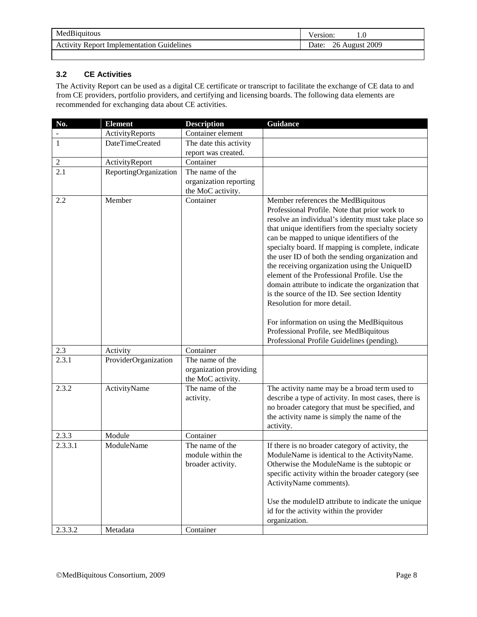| MedBiquitous                                                  | 1.0<br>ersion:                  |
|---------------------------------------------------------------|---------------------------------|
| . iuidelines<br>Activity<br>: Implementation<br><b>Report</b> | 2009<br>Date:<br>August 1<br>∠∪ |
|                                                               |                                 |

#### **3.2 CE Activities**

The Activity Report can be used as a digital CE certificate or transcript to facilitate the exchange of CE data to and from CE providers, portfolio providers, and certifying and licensing boards. The following data elements are recommended for exchanging data about CE activities.

| No.            | <b>Element</b>         | <b>Description</b>     | Guidance                                                                     |
|----------------|------------------------|------------------------|------------------------------------------------------------------------------|
|                | ActivityReports        | Container element      |                                                                              |
| 1              | <b>DateTimeCreated</b> | The date this activity |                                                                              |
|                |                        | report was created.    |                                                                              |
| $\overline{2}$ | ActivityReport         | Container              |                                                                              |
| 2.1            | ReportingOrganization  | The name of the        |                                                                              |
|                |                        | organization reporting |                                                                              |
|                |                        | the MoC activity.      |                                                                              |
| 2.2            | Member                 | Container              | Member references the MedBiquitous                                           |
|                |                        |                        | Professional Profile. Note that prior work to                                |
|                |                        |                        | resolve an individual's identity must take place so                          |
|                |                        |                        | that unique identifiers from the specialty society                           |
|                |                        |                        | can be mapped to unique identifiers of the                                   |
|                |                        |                        | specialty board. If mapping is complete, indicate                            |
|                |                        |                        | the user ID of both the sending organization and                             |
|                |                        |                        | the receiving organization using the UniqueID                                |
|                |                        |                        | element of the Professional Profile. Use the                                 |
|                |                        |                        | domain attribute to indicate the organization that                           |
|                |                        |                        | is the source of the ID. See section Identity<br>Resolution for more detail. |
|                |                        |                        |                                                                              |
|                |                        |                        | For information on using the MedBiquitous                                    |
|                |                        |                        | Professional Profile, see MedBiquitous                                       |
|                |                        |                        | Professional Profile Guidelines (pending).                                   |
| 2.3            | Activity               | Container              |                                                                              |
| 2.3.1          | ProviderOrganization   | The name of the        |                                                                              |
|                |                        | organization providing |                                                                              |
|                |                        | the MoC activity.      |                                                                              |
| 2.3.2          | ActivityName           | The name of the        | The activity name may be a broad term used to                                |
|                |                        | activity.              | describe a type of activity. In most cases, there is                         |
|                |                        |                        | no broader category that must be specified, and                              |
|                |                        |                        | the activity name is simply the name of the                                  |
|                |                        |                        | activity.                                                                    |
| 2.3.3          | Module                 | Container              |                                                                              |
| 2.3.3.1        | ModuleName             | The name of the        | If there is no broader category of activity, the                             |
|                |                        | module within the      | ModuleName is identical to the ActivityName.                                 |
|                |                        | broader activity.      | Otherwise the ModuleName is the subtopic or                                  |
|                |                        |                        | specific activity within the broader category (see                           |
|                |                        |                        | ActivityName comments).                                                      |
|                |                        |                        |                                                                              |
|                |                        |                        | Use the moduleID attribute to indicate the unique                            |
|                |                        |                        | id for the activity within the provider                                      |
|                |                        |                        | organization.                                                                |
| 2.3.3.2        | Metadata               | Container              |                                                                              |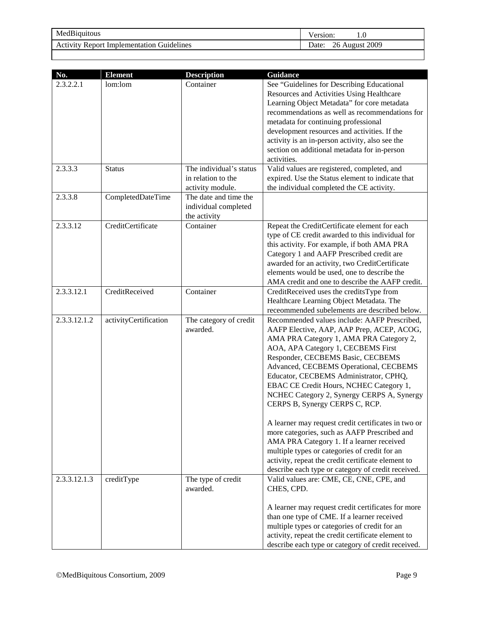| MedBiquitous                                                | ersion:<br>1.U                |
|-------------------------------------------------------------|-------------------------------|
| <b>Fuidelines</b><br>Activity<br>√ Renort<br>Implementation | 2009<br>Date:<br>August<br>26 |
|                                                             |                               |

| No.          | <b>Element</b>        | <b>Description</b>                                                | <b>Guidance</b>                                                                                                                                                                                                                                                                                                                                                                                                                                                                                                                                                                                                                                                                           |
|--------------|-----------------------|-------------------------------------------------------------------|-------------------------------------------------------------------------------------------------------------------------------------------------------------------------------------------------------------------------------------------------------------------------------------------------------------------------------------------------------------------------------------------------------------------------------------------------------------------------------------------------------------------------------------------------------------------------------------------------------------------------------------------------------------------------------------------|
| 2.3.2.2.1    | lom:lom               | Container                                                         | See "Guidelines for Describing Educational<br>Resources and Activities Using Healthcare<br>Learning Object Metadata" for core metadata<br>recommendations as well as recommendations for<br>metadata for continuing professional<br>development resources and activities. If the<br>activity is an in-person activity, also see the                                                                                                                                                                                                                                                                                                                                                       |
|              |                       |                                                                   | section on additional metadata for in-person                                                                                                                                                                                                                                                                                                                                                                                                                                                                                                                                                                                                                                              |
| 2.3.3.3      | <b>Status</b>         | The individual's status<br>in relation to the<br>activity module. | activities.<br>Valid values are registered, completed, and<br>expired. Use the Status element to indicate that<br>the individual completed the CE activity.                                                                                                                                                                                                                                                                                                                                                                                                                                                                                                                               |
| 2.3.3.8      | CompletedDateTime     | The date and time the<br>individual completed<br>the activity     |                                                                                                                                                                                                                                                                                                                                                                                                                                                                                                                                                                                                                                                                                           |
| 2.3.3.12     | CreditCertificate     | Container                                                         | Repeat the CreditCertificate element for each<br>type of CE credit awarded to this individual for<br>this activity. For example, if both AMA PRA<br>Category 1 and AAFP Prescribed credit are<br>awarded for an activity, two CreditCertificate<br>elements would be used, one to describe the<br>AMA credit and one to describe the AAFP credit.                                                                                                                                                                                                                                                                                                                                         |
| 2.3.3.12.1   | CreditReceived        | Container                                                         | CreditReceived uses the creditsType from<br>Healthcare Learning Object Metadata. The<br>receommended subelements are described below.                                                                                                                                                                                                                                                                                                                                                                                                                                                                                                                                                     |
| 2.3.3.12.1.2 | activityCertification | The category of credit<br>awarded.                                | Recommended values include: AAFP Prescribed,<br>AAFP Elective, AAP, AAP Prep, ACEP, ACOG,<br>AMA PRA Category 1, AMA PRA Category 2,<br>AOA, APA Category 1, CECBEMS First<br>Responder, CECBEMS Basic, CECBEMS<br>Advanced, CECBEMS Operational, CECBEMS<br>Educator, CECBEMS Administrator, CPHQ,<br>EBAC CE Credit Hours, NCHEC Category 1,<br>NCHEC Category 2, Synergy CERPS A, Synergy<br>CERPS B, Synergy CERPS C, RCP.<br>A learner may request credit certificates in two or<br>more categories, such as AAFP Prescribed and<br>AMA PRA Category 1. If a learner received<br>multiple types or categories of credit for an<br>activity, repeat the credit certificate element to |
|              |                       |                                                                   | describe each type or category of credit received.                                                                                                                                                                                                                                                                                                                                                                                                                                                                                                                                                                                                                                        |
| 2.3.3.12.1.3 | creditType            | The type of credit<br>awarded.                                    | Valid values are: CME, CE, CNE, CPE, and<br>CHES, CPD.<br>A learner may request credit certificates for more<br>than one type of CME. If a learner received<br>multiple types or categories of credit for an<br>activity, repeat the credit certificate element to<br>describe each type or category of credit received.                                                                                                                                                                                                                                                                                                                                                                  |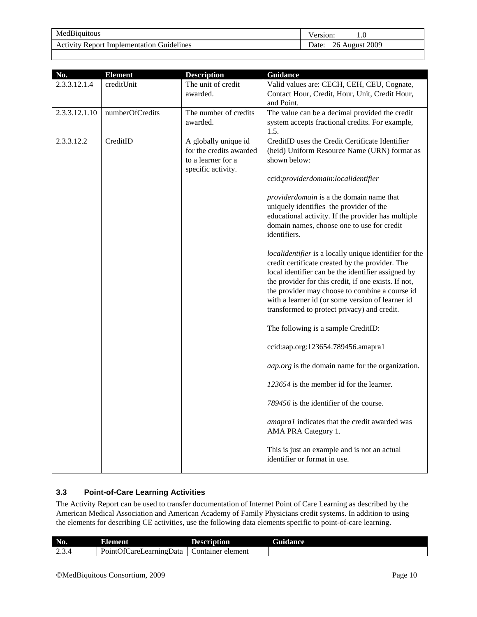| MedBiquitous                                              | ersion:<br>1.U             |
|-----------------------------------------------------------|----------------------------|
| Guidelines<br>Activity<br>Implementation<br><b>Report</b> | August 2009<br>26<br>Date: |
|                                                           |                            |

| No.           | <b>Element</b>  | <b>Description</b>                                                                          | <b>Guidance</b>                                                                                                                                                                                                                                                                                                                                                              |
|---------------|-----------------|---------------------------------------------------------------------------------------------|------------------------------------------------------------------------------------------------------------------------------------------------------------------------------------------------------------------------------------------------------------------------------------------------------------------------------------------------------------------------------|
| 2.3.3.12.1.4  | creditUnit      | The unit of credit<br>awarded.                                                              | Valid values are: CECH, CEH, CEU, Cognate,<br>Contact Hour, Credit, Hour, Unit, Credit Hour,<br>and Point.                                                                                                                                                                                                                                                                   |
| 2.3.3.12.1.10 | numberOfCredits | The number of credits<br>awarded.                                                           | The value can be a decimal provided the credit<br>system accepts fractional credits. For example,<br>1.5.                                                                                                                                                                                                                                                                    |
| 2.3.3.12.2    | CreditID        | A globally unique id<br>for the credits awarded<br>to a learner for a<br>specific activity. | CreditID uses the Credit Certificate Identifier<br>(heid) Uniform Resource Name (URN) format as<br>shown below:<br>ccid:providerdomain:localidentifier                                                                                                                                                                                                                       |
|               |                 |                                                                                             | providerdomain is a the domain name that<br>uniquely identifies the provider of the<br>educational activity. If the provider has multiple<br>domain names, choose one to use for credit<br>identifiers.                                                                                                                                                                      |
|               |                 |                                                                                             | localidentifier is a locally unique identifier for the<br>credit certificate created by the provider. The<br>local identifier can be the identifier assigned by<br>the provider for this credit, if one exists. If not,<br>the provider may choose to combine a course id<br>with a learner id (or some version of learner id<br>transformed to protect privacy) and credit. |
|               |                 |                                                                                             | The following is a sample CreditID:                                                                                                                                                                                                                                                                                                                                          |
|               |                 |                                                                                             | ccid:aap.org:123654.789456.amapra1                                                                                                                                                                                                                                                                                                                                           |
|               |                 |                                                                                             | <i>aap.org</i> is the domain name for the organization.                                                                                                                                                                                                                                                                                                                      |
|               |                 |                                                                                             | 123654 is the member id for the learner.                                                                                                                                                                                                                                                                                                                                     |
|               |                 |                                                                                             | 789456 is the identifier of the course.                                                                                                                                                                                                                                                                                                                                      |
|               |                 |                                                                                             | amapral indicates that the credit awarded was<br>AMA PRA Category 1.                                                                                                                                                                                                                                                                                                         |
|               |                 |                                                                                             | This is just an example and is not an actual<br>identifier or format in use.                                                                                                                                                                                                                                                                                                 |

#### **3.3 Point-of-Care Learning Activities**

The Activity Report can be used to transfer documentation of Internet Point of Care Learning as described by the American Medical Association and American Academy of Family Physicians credit systems. In addition to using the elements for describing CE activities, use the following data elements specific to point-of-care learning.

| No.                  | --<br>Element                      | <b>Description</b>   | Guidance |
|----------------------|------------------------------------|----------------------|----------|
| $\sim$ $\sim$<br>∠…… | .OfC<br>∴areLearnıngData<br>Point( | Container<br>element |          |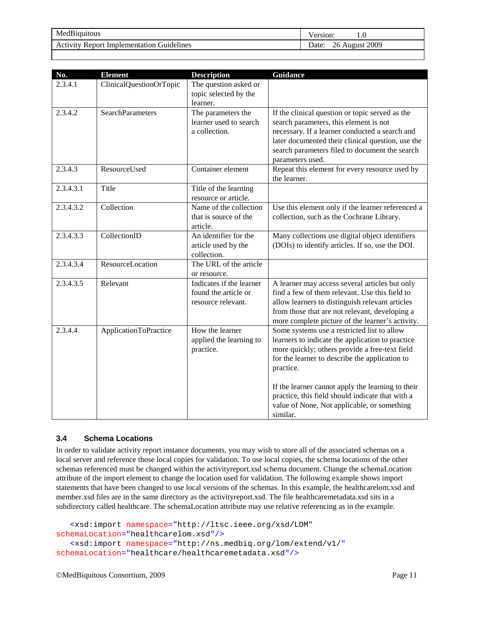| MedBiquitous                                              | rsion.<br>1.V              |
|-----------------------------------------------------------|----------------------------|
| <b>Fuidelines</b><br>Implementation<br>Activity<br>Report | August 2009<br>Date:<br>26 |
|                                                           |                            |

| No.       | <b>Element</b>          | <b>Description</b>                                                     | <b>Guidance</b>                                                                                                                                                                                                                                                        |
|-----------|-------------------------|------------------------------------------------------------------------|------------------------------------------------------------------------------------------------------------------------------------------------------------------------------------------------------------------------------------------------------------------------|
| 2.3.4.1   | ClinicalQuestionOrTopic | The question asked or<br>topic selected by the                         |                                                                                                                                                                                                                                                                        |
|           |                         | learner.                                                               |                                                                                                                                                                                                                                                                        |
| 2.3.4.2   | <b>SearchParameters</b> | The parameters the<br>learner used to search<br>a collection.          | If the clinical question or topic served as the<br>search parameters, this element is not<br>necessary. If a learner conducted a search and<br>later documented their clinical question, use the<br>search parameters filed to document the search<br>parameters used. |
| 2.3.4.3   | ResourceUsed            | Container element                                                      | Repeat this element for every resource used by<br>the learner.                                                                                                                                                                                                         |
| 2.3.4.3.1 | Title                   | Title of the learning<br>resource or article.                          |                                                                                                                                                                                                                                                                        |
| 2.3.4.3.2 | Collection              | Name of the collection<br>that is source of the<br>article.            | Use this element only if the learner referenced a<br>collection, such as the Cochrane Library.                                                                                                                                                                         |
| 2.3.4.3.3 | CollectionID            | An identifier for the<br>article used by the<br>collection.            | Many collections use digital object identifiers<br>(DOIs) to identify articles. If so, use the DOI.                                                                                                                                                                    |
| 2.3.4.3.4 | ResourceLocation        | The URL of the article<br>or resource.                                 |                                                                                                                                                                                                                                                                        |
| 2.3.4.3.5 | Relevant                | Indicates if the learner<br>found the article or<br>resource relevant. | A learner may access several articles but only<br>find a few of them relevant. Use this field to<br>allow learners to distinguish relevant articles<br>from those that are not relevant, developing a<br>more complete picture of the learner's activity.              |
| 2.3.4.4   | ApplicationToPractice   | How the learner<br>applied the learning to<br>practice.                | Some systems use a restricted list to allow<br>learners to indicate the application to practice<br>more quickly; others provide a free-text field<br>for the learner to describe the application to<br>practice.                                                       |
|           |                         |                                                                        | If the learner cannot apply the learning to their<br>practice, this field should indicate that with a<br>value of None, Not applicable, or something<br>similar.                                                                                                       |

#### **3.4 Schema Locations**

In order to validate activity report instance documents, you may wish to store all of the associated schemas on a local server and reference those local copies for validation. To use local copies, the schema locations of the other schemas referenced must be changed within the activityreport.xsd schema document. Change the schemaLocation attribute of the import element to change the location used for validation. The following example shows import statements that have been changed to use local versions of the schemas. In this example, the healthcarelom.xsd and member.xsd files are in the same directory as the activityreport.xsd. The file healthcaremetadata.xsd sits in a subdirectory called healthcare. The schemaLocation attribute may use relative referencing as in the example.

```
<xsd:import namespace="http://ltsc.ieee.org/xsd/LOM"
schemaLocation="healthcarelom.xsd"/>
   <xsd:import namespace="http://ns.medbiq.org/lom/extend/v1/"
schemaLocation="healthcare/healthcaremetadata.xsd"/>
```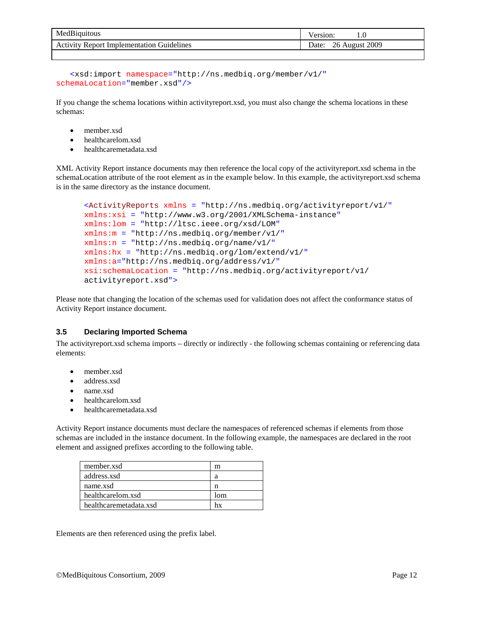| MedBiquitous                          | ersion.<br>T.U |
|---------------------------------------|----------------|
| Guidelines                            | August 2009    |
| <b>Activity Report Implementation</b> | Date:          |

```
<xsd:import namespace="http://ns.medbiq.org/member/v1/"
schemaLocation="member.xsd"/>
```
If you change the schema locations within activityreport.xsd, you must also change the schema locations in these schemas:

- member.xsd
- healthcarelom.xsd
- healthcaremetadata.xsd

XML Activity Report instance documents may then reference the local copy of the activityreport.xsd schema in the schemaLocation attribute of the root element as in the example below. In this example, the activityreport.xsd schema is in the same directory as the instance document.

```
<ActivityReports xmlns = "http://ns.medbiq.org/activityreport/v1/"
xmlns:xsi = "http://www.w3.org/2001/XMLSchema-instance"
xmlns:lom = "http://ltsc.ieee.org/xsd/LOM"
xmlns:m = "http://ns.medbiq.org/member/v1/"
xmlns:n = "http://ns.medbiq.org/name/v1/"
xmlns:hx = "http://ns.medbiq.org/lom/extend/v1/"
xmlns:a="http://ns.medbiq.org/address/v1/"
xsi:schemaLocation = "http://ns.medbiq.org/activityreport/v1/ 
activityreport.xsd">
```
Please note that changing the location of the schemas used for validation does not affect the conformance status of Activity Report instance document.

#### **3.5 Declaring Imported Schema**

The activityreport.xsd schema imports – directly or indirectly - the following schemas containing or referencing data elements:

- member.xsd
- address.xsd
- name.xsd
- healthcarelom.xsd
- healthcaremetadata.xsd

Activity Report instance documents must declare the namespaces of referenced schemas if elements from those schemas are included in the instance document. In the following example, the namespaces are declared in the root element and assigned prefixes according to the following table.

| member.xsd             | m   |
|------------------------|-----|
| address.xsd            | а   |
| name.xsd               | n   |
| healthcarelom.xsd      | lom |
| healthcaremetadata.xsd |     |

Elements are then referenced using the prefix label.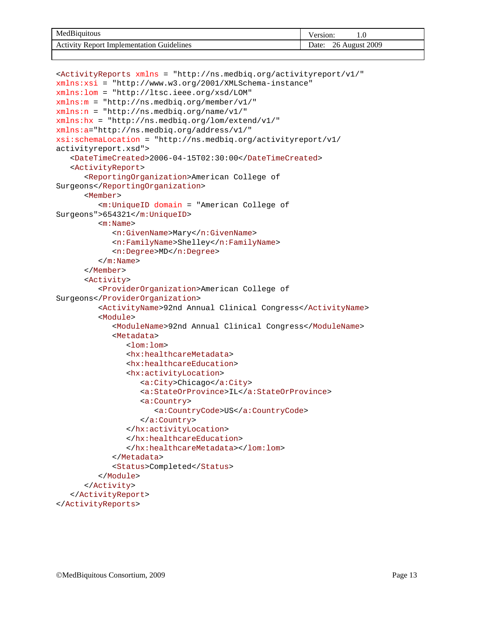| MedBiquitous                                               | 1.0         |
|------------------------------------------------------------|-------------|
| Guidelines<br><b>Activity Report</b><br>: Implementation C | August 2009 |
|                                                            |             |

```
<ActivityReports xmlns = "http://ns.medbiq.org/activityreport/v1/"
xmlns:xsi = "http://www.w3.org/2001/XMLSchema-instance"
xmlns:lom = "http://ltsc.ieee.org/xsd/LOM"
xmlns:m = "http://ns.medbiq.org/member/v1/"
xmlns:n = "http://ns.medbiq.org/name/v1/"
xmlns:hx = "http://ns.medbiq.org/lom/extend/v1/"
xmlns:a="http://ns.medbiq.org/address/v1/"
xsi:schemaLocation = "http://ns.medbiq.org/activityreport/v1/ 
activityreport.xsd">
   <DateTimeCreated>2006-04-15T02:30:00</DateTimeCreated>
   <ActivityReport>
      <ReportingOrganization>American College of 
Surgeons</ReportingOrganization>
      <Member>
         <m:UniqueID domain = "American College of 
Surgeons">654321</m:UniqueID>
         <m:Name>
            <n:GivenName>Mary</n:GivenName>
            <n:FamilyName>Shelley</n:FamilyName>
            <n:Degree>MD</n:Degree>
         \langle m:Name \rangle</Member>
      <Activity>
         <ProviderOrganization>American College of 
Surgeons</ProviderOrganization>
         <ActivityName>92nd Annual Clinical Congress</ActivityName>
         <Module>
            <ModuleName>92nd Annual Clinical Congress</ModuleName>
            <Metadata>
               <lom:lom>
               <hx:healthcareMetadata>
               <hx:healthcareEducation>
               <hx:activityLocation>
                  <a:City>Chicago</a:City>
                  <a:StateOrProvince>IL</a:StateOrProvince>
                  <a:Country>
                     <a:CountryCode>US</a:CountryCode>
                  </a:Country>
               </hx:activityLocation>
               </hx:healthcareEducation>
               </hx:healthcareMetadata></lom:lom>
            </Metadata>
            <Status>Completed</Status>
         </Module>
      </Activity>
   </ActivityReport>
</ActivityReports>
```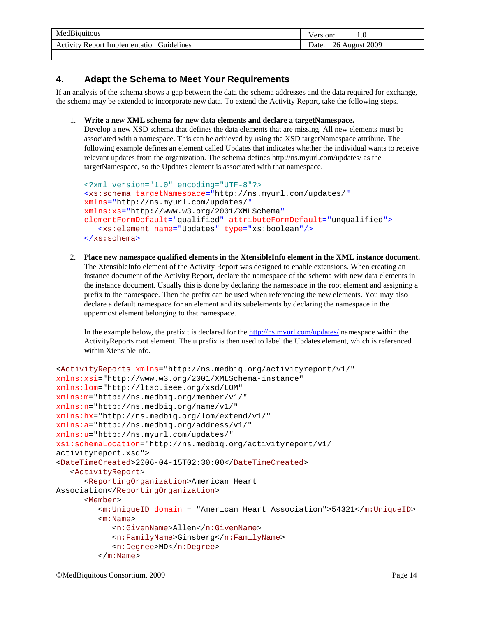| MedE<br>iquitous                                         | 1.U                     |
|----------------------------------------------------------|-------------------------|
| Guidelines<br><b>Activity Report</b><br>t Implementation | 2009<br>Date:<br>August |
|                                                          |                         |

## **4. Adapt the Schema to Meet Your Requirements**

If an analysis of the schema shows a gap between the data the schema addresses and the data required for exchange, the schema may be extended to incorporate new data. To extend the Activity Report, take the following steps.

#### 1. **Write a new XML schema for new data elements and declare a targetNamespace.**

Develop a new XSD schema that defines the data elements that are missing. All new elements must be associated with a namespace. This can be achieved by using the XSD targetNamespace attribute. The following example defines an element called Updates that indicates whether the individual wants to receive relevant updates from the organization. The schema defines http://ns.myurl.com/updates/ as the targetNamespace, so the Updates element is associated with that namespace.

```
<?xml version="1.0" encoding="UTF-8"?>
<xs:schema targetNamespace="http://ns.myurl.com/updates/"
xmlns="http://ns.myurl.com/updates/"
xmlns:xs="http://www.w3.org/2001/XMLSchema"
elementFormDefault="qualified" attributeFormDefault="unqualified">
   <xs:element name="Updates" type="xs:boolean"/>
</xs:schema>
```
2. **Place new namespace qualified elements in the XtensibleInfo element in the XML instance document.** The XtensibleInfo element of the Activity Report was designed to enable extensions. When creating an instance document of the Activity Report, declare the namespace of the schema with new data elements in the instance document. Usually this is done by declaring the namespace in the root element and assigning a prefix to the namespace. Then the prefix can be used when referencing the new elements. You may also declare a default namespace for an element and its subelements by declaring the namespace in the uppermost element belonging to that namespace.

In the example below, the prefix t is declared for the<http://ns.myurl.com/updates/> namespace within the ActivityReports root element. The u prefix is then used to label the Updates element, which is referenced within XtensibleInfo.

```
<ActivityReports xmlns="http://ns.medbiq.org/activityreport/v1/"
xmlns:xsi="http://www.w3.org/2001/XMLSchema-instance"
xmlns:lom="http://ltsc.ieee.org/xsd/LOM"
xmlns:m="http://ns.medbiq.org/member/v1/"
xmlns:n="http://ns.medbiq.org/name/v1/"
xmlns:hx="http://ns.medbiq.org/lom/extend/v1/"
xmlns:a="http://ns.medbiq.org/address/v1/"
xmlns:u="http://ns.myurl.com/updates/"
xsi:schemaLocation="http://ns.medbiq.org/activityreport/v1/ 
activityreport.xsd">
<DateTimeCreated>2006-04-15T02:30:00</DateTimeCreated>
   <ActivityReport>
      <ReportingOrganization>American Heart 
Association</ReportingOrganization>
      <Member>
         <m:UniqueID domain = "American Heart Association">54321</m:UniqueID>
         <m:Name>
            <n:GivenName>Allen</n:GivenName>
            <n:FamilyName>Ginsberg</n:FamilyName>
            <n:Degree>MD</n:Degree>
         </m:Name>
```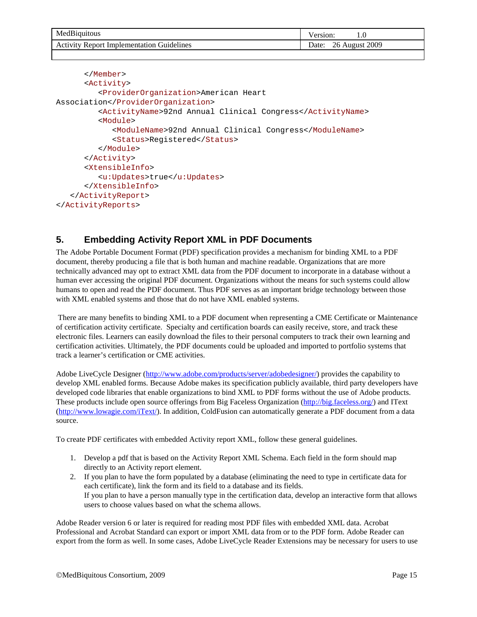| MedBiquitous                                             | 1.0<br>ersion:           |
|----------------------------------------------------------|--------------------------|
| Guidelines<br><b>Activity Report</b><br>. Implementation | 2009<br>Date:<br>August: |
|                                                          |                          |

```
</Member>
      <Activity>
         <ProviderOrganization>American Heart 
Association</ProviderOrganization>
         <ActivityName>92nd Annual Clinical Congress</ActivityName>
         <Module>
            <ModuleName>92nd Annual Clinical Congress</ModuleName>
            <Status>Registered</Status>
         </Module>
      </Activity>
      <XtensibleInfo>
         <u:Updates>true</u:Updates>
      </XtensibleInfo>
   </ActivityReport>
</ActivityReports>
```
## **5. Embedding Activity Report XML in PDF Documents**

The Adobe Portable Document Format (PDF) specification provides a mechanism for binding XML to a PDF document, thereby producing a file that is both human and machine readable. Organizations that are more technically advanced may opt to extract XML data from the PDF document to incorporate in a database without a human ever accessing the original PDF document. Organizations without the means for such systems could allow humans to open and read the PDF document. Thus PDF serves as an important bridge technology between those with XML enabled systems and those that do not have XML enabled systems.

There are many benefits to binding XML to a PDF document when representing a CME Certificate or Maintenance of certification activity certificate. Specialty and certification boards can easily receive, store, and track these electronic files. Learners can easily download the files to their personal computers to track their own learning and certification activities. Ultimately, the PDF documents could be uploaded and imported to portfolio systems that track a learner's certification or CME activities.

Adobe LiveCycle Designer [\(http://www.adobe.com/products/server/adobedesigner/\)](http://www.adobe.com/products/server/adobedesigner/) provides the capability to develop XML enabled forms. Because Adobe makes its specification publicly available, third party developers have developed code libraries that enable organizations to bind XML to PDF forms without the use of Adobe products. These products include open source offerings from Big Faceless Organization [\(http://big.faceless.org/\)](http://big.faceless.org/) and IText [\(http://www.lowagie.com/iText/\)](http://www.lowagie.com/iText/). In addition, ColdFusion can automatically generate a PDF document from a data source.

To create PDF certificates with embedded Activity report XML, follow these general guidelines.

- 1. Develop a pdf that is based on the Activity Report XML Schema. Each field in the form should map directly to an Activity report element.
- 2. If you plan to have the form populated by a database (eliminating the need to type in certificate data for each certificate), link the form and its field to a database and its fields. If you plan to have a person manually type in the certification data, develop an interactive form that allows users to choose values based on what the schema allows.

Adobe Reader version 6 or later is required for reading most PDF files with embedded XML data. Acrobat Professional and Acrobat Standard can export or import XML data from or to the PDF form. Adobe Reader can export from the form as well. In some cases, Adobe LiveCycle Reader Extensions may be necessary for users to use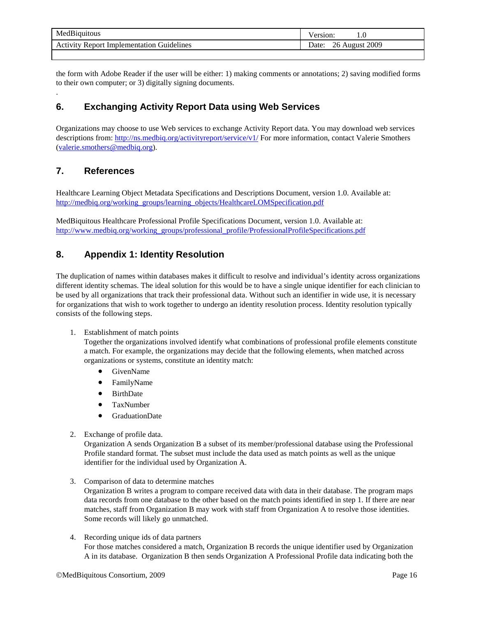| MedBiquitous                                     | /ersion <sup>.</sup>       |
|--------------------------------------------------|----------------------------|
| <b>Activity Report Implementation Guidelines</b> | August 2009<br>26<br>Date: |
|                                                  |                            |

the form with Adobe Reader if the user will be either: 1) making comments or annotations; 2) saving modified forms to their own computer; or 3) digitally signing documents.

## **6. Exchanging Activity Report Data using Web Services**

Organizations may choose to use Web services to exchange Activity Report data. You may download web services descriptions from:<http://ns.medbiq.org/activityreport/service/v1/> For more information, contact Valerie Smothers [\(valerie.smothers@medbiq.org\)](mailto:valerie.smothers@medbiq.org).

## **7. References**

.

Healthcare Learning Object Metadata Specifications and Descriptions Document, version 1.0. Available at: [http://medbiq.org/working\\_groups/learning\\_objects/HealthcareLOMSpecification.pdf](http://medbiq.org/working_groups/learning_objects/HealthcareLOMSpecification.pdf)

MedBiquitous Healthcare Professional Profile Specifications Document, version 1.0. Available at: [http://www.medbiq.org/working\\_groups/professional\\_profile/ProfessionalProfileSpecifications.pdf](http://www.medbiq.org/working_groups/professional_profile/ProfessionalProfileSpecifications.pdf)

## **8. Appendix 1: Identity Resolution**

The duplication of names within databases makes it difficult to resolve and individual's identity across organizations different identity schemas. The ideal solution for this would be to have a single unique identifier for each clinician to be used by all organizations that track their professional data. Without such an identifier in wide use, it is necessary for organizations that wish to work together to undergo an identity resolution process. Identity resolution typically consists of the following steps.

1. Establishment of match points

Together the organizations involved identify what combinations of professional profile elements constitute a match. For example, the organizations may decide that the following elements, when matched across organizations or systems, constitute an identity match:

- GivenName
- FamilyName
- BirthDate
- TaxNumber
- GraduationDate
- 2. Exchange of profile data.

Organization A sends Organization B a subset of its member/professional database using the Professional Profile standard format. The subset must include the data used as match points as well as the unique identifier for the individual used by Organization A.

3. Comparison of data to determine matches

Organization B writes a program to compare received data with data in their database. The program maps data records from one database to the other based on the match points identified in step 1. If there are near matches, staff from Organization B may work with staff from Organization A to resolve those identities. Some records will likely go unmatched.

4. Recording unique ids of data partners For those matches considered a match, Organization B records the unique identifier used by Organization A in its database. Organization B then sends Organization A Professional Profile data indicating both the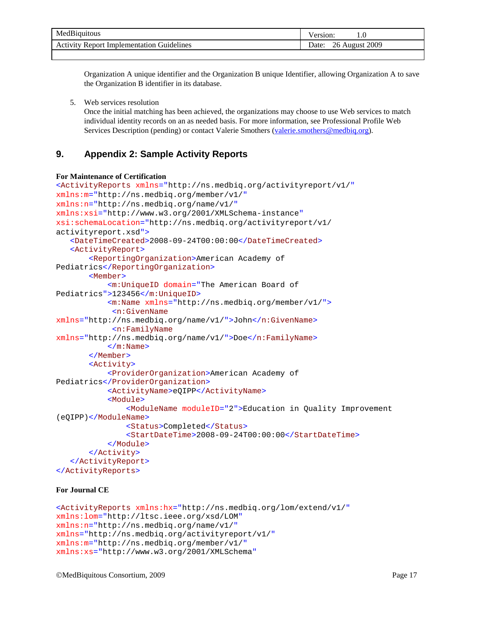|                                       | ersion:     |
|---------------------------------------|-------------|
| <b>Guidelines</b>                     | August 2009 |
| <b>Activity Report Implementation</b> | ገሬ          |
| Date:                                 | ∠∪          |

Organization A unique identifier and the Organization B unique Identifier, allowing Organization A to save the Organization B identifier in its database.

5. Web services resolution

Once the initial matching has been achieved, the organizations may choose to use Web services to match individual identity records on an as needed basis. For more information, see Professional Profile Web Services Description (pending) or contact Valerie Smothers [\(valerie.smothers@medbiq.org\)](mailto:valerie.smothers@medbiq.org).

### **9. Appendix 2: Sample Activity Reports**

#### **For Maintenance of Certification**

```
<ActivityReports xmlns="http://ns.medbiq.org/activityreport/v1/"
xmlns:m="http://ns.medbiq.org/member/v1/"
xmlns:n="http://ns.medbiq.org/name/v1/"
xmlns:xsi="http://www.w3.org/2001/XMLSchema-instance"
xsi:schemaLocation="http://ns.medbiq.org/activityreport/v1/
activityreport.xsd">
    <DateTimeCreated>2008-09-24T00:00:00</DateTimeCreated>
    <ActivityReport>
        <ReportingOrganization>American Academy of 
Pediatrics</ReportingOrganization>
        <Member>
            <m:UniqueID domain="The American Board of 
Pediatrics">123456</m:UniqueID>
            <m:Name xmlns="http://ns.medbiq.org/member/v1/">
            <n:GivenName
xmlns="http://ns.medbiq.org/name/v1/">John</n:GivenName>
            <n:FamilyName
xmlns="http://ns.medbiq.org/name/v1/">Doe</n:FamilyName>
           \langle m:Name\rangle </Member>
        <Activity>
            <ProviderOrganization>American Academy of 
Pediatrics</ProviderOrganization>
            <ActivityName>eQIPP</ActivityName>
            <Module>
                <ModuleName moduleID="2">Education in Quality Improvement 
(eQIPP)</ModuleName>
                <Status>Completed</Status>
                <StartDateTime>2008-09-24T00:00:00</StartDateTime>
            </Module>
        </Activity>
    </ActivityReport>
</ActivityReports>
```
#### **For Journal CE**

```
<ActivityReports xmlns:hx="http://ns.medbiq.org/lom/extend/v1/"
xmlns:lom="http://ltsc.ieee.org/xsd/LOM"
xmlns:n="http://ns.medbiq.org/name/v1/"
xmlns="http://ns.medbiq.org/activityreport/v1/"
xmlns:m="http://ns.medbiq.org/member/v1/"
xmlns:xs="http://www.w3.org/2001/XMLSchema"
```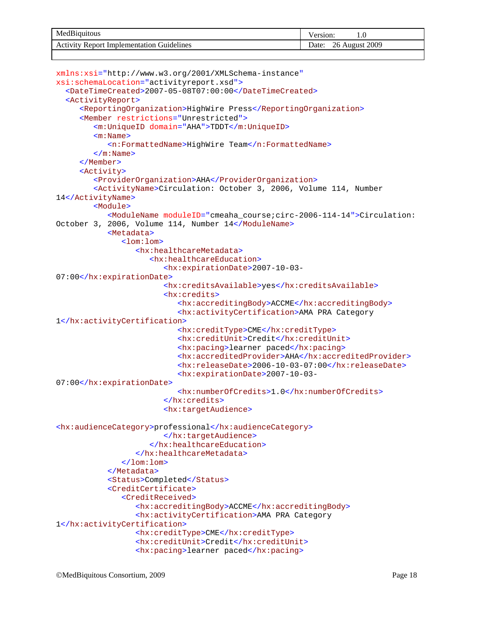| MedBiquitous                                               | 1.U                     |
|------------------------------------------------------------|-------------------------|
| <b>Tuidelines</b><br>Activity<br>-Report<br>Implementation | 2009<br>Date.<br>`ugust |

```
xmlns:xsi="http://www.w3.org/2001/XMLSchema-instance"
xsi:schemaLocation="activityreport.xsd">
   <DateTimeCreated>2007-05-08T07:00:00</DateTimeCreated>
   <ActivityReport>
      <ReportingOrganization>HighWire Press</ReportingOrganization>
      <Member restrictions="Unrestricted">
         <m:UniqueID domain="AHA">TDDT</m:UniqueID>
         <m:Name>
            <n:FormattedName>HighWire Team</n:FormattedName>
        \langle m:Name \rangle </Member>
      <Activity>
         <ProviderOrganization>AHA</ProviderOrganization>
         <ActivityName>Circulation: October 3, 2006, Volume 114, Number 
14</ActivityName>
         <Module>
            <ModuleName moduleID="cmeaha_course;circ-2006-114-14">Circulation: 
October 3, 2006, Volume 114, Number 14</ModuleName>
            <Metadata>
               <lom:lom>
                   <hx:healthcareMetadata>
                      <hx:healthcareEducation>
                         <hx:expirationDate>2007-10-03-
07:00</hx:expirationDate>
                         <hx:creditsAvailable>yes</hx:creditsAvailable>
                         <hx:credits>
                            <hx:accreditingBody>ACCME</hx:accreditingBody>
                            <hx:activityCertification>AMA PRA Category 
1</hx:activityCertification>
                            <hx:creditType>CME</hx:creditType>
                            <hx:creditUnit>Credit</hx:creditUnit>
                            <hx:pacing>learner paced</hx:pacing>
                            <hx:accreditedProvider>AHA</hx:accreditedProvider>
                            <hx:releaseDate>2006-10-03-07:00</hx:releaseDate>
                            <hx:expirationDate>2007-10-03-
07:00</hx:expirationDate>
                            <hx:numberOfCredits>1.0</hx:numberOfCredits>
                         </hx:credits>
                        <hx:targetAudience>
<hx:audienceCategory>professional</hx:audienceCategory>
                         </hx:targetAudience>
                      </hx:healthcareEducation>
                   </hx:healthcareMetadata>
               </lom:lom>
            </Metadata>
            <Status>Completed</Status>
            <CreditCertificate>
                <CreditReceived>
                   <hx:accreditingBody>ACCME</hx:accreditingBody>
                   <hx:activityCertification>AMA PRA Category 
1</hx:activityCertification>
                   <hx:creditType>CME</hx:creditType>
                   <hx:creditUnit>Credit</hx:creditUnit>
                   <hx:pacing>learner paced</hx:pacing>
```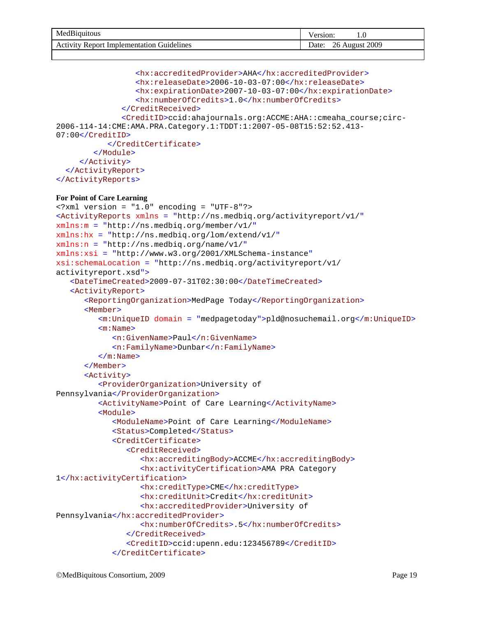| Me                                                               | 1.0                     |
|------------------------------------------------------------------|-------------------------|
| 1B1quitous                                                       | ersion.                 |
| <b>Guidelines</b><br>Activity<br>Report<br>-Implement<br>.tatıon | 2009<br>Date:<br>August |

```
 <hx:accreditedProvider>AHA</hx:accreditedProvider>
                  <hx:releaseDate>2006-10-03-07:00</hx:releaseDate>
                  <hx:expirationDate>2007-10-03-07:00</hx:expirationDate>
                  <hx:numberOfCredits>1.0</hx:numberOfCredits>
               </CreditReceived>
               <CreditID>ccid:ahajournals.org:ACCME:AHA::cmeaha_course;circ-
2006-114-14:CME:AMA.PRA.Category.1:TDDT:1:2007-05-08T15:52:52.413-
07:00</CreditID>
            </CreditCertificate>
         </Module>
      </Activity>
   </ActivityReport>
</ActivityReports>
For Point of Care Learning
<?xml version = "1.0" encoding = "UTF-8"?>
<ActivityReports xmlns = "http://ns.medbiq.org/activityreport/v1/"
xmlns:m = "http://ns.medbiq.org/member/v1/"
xmlns:hx = "http://ns.medbiq.org/lom/extend/v1/"
xmlns:n = "http://ns.medbiq.org/name/v1/"
xmlns:xsi = "http://www.w3.org/2001/XMLSchema-instance"
xsi:schemaLocation = "http://ns.medbiq.org/activityreport/v1/ 
activityreport.xsd">
   <DateTimeCreated>2009-07-31T02:30:00</DateTimeCreated>
   <ActivityReport>
      <ReportingOrganization>MedPage Today</ReportingOrganization>
      <Member>
         <m:UniqueID domain = "medpagetoday">pld@nosuchemail.org</m:UniqueID>
         <m:Name>
            <n:GivenName>Paul</n:GivenName>
            <n:FamilyName>Dunbar</n:FamilyName>
         </m:Name>
      </Member>
      <Activity>
         <ProviderOrganization>University of 
Pennsylvania</ProviderOrganization>
         <ActivityName>Point of Care Learning</ActivityName>
         <Module>
            <ModuleName>Point of Care Learning</ModuleName>
            <Status>Completed</Status>
            <CreditCertificate>
               <CreditReceived>
                  <hx:accreditingBody>ACCME</hx:accreditingBody>
                  <hx:activityCertification>AMA PRA Category 
1</hx:activityCertification>
                  <hx:creditType>CME</hx:creditType>
                  <hx:creditUnit>Credit</hx:creditUnit>
                  <hx:accreditedProvider>University of 
Pennsylvania</hx:accreditedProvider>
                  <hx:numberOfCredits>.5</hx:numberOfCredits>
               </CreditReceived>
               <CreditID>ccid:upenn.edu:123456789</CreditID>
            </CreditCertificate>
```